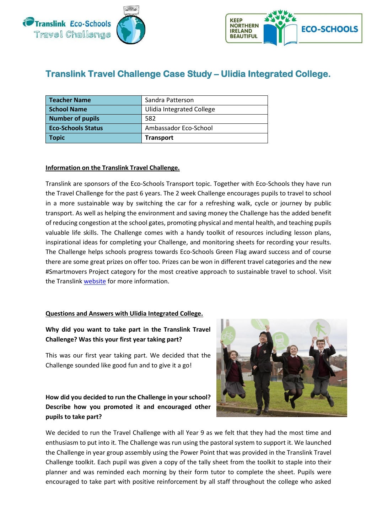



# **Translink Travel Challenge Case Study – Ulidia Integrated College.**

| Teacher Name              | Sandra Patterson                 |
|---------------------------|----------------------------------|
| <b>School Name</b>        | <b>Ulidia Integrated College</b> |
| <b>Number of pupils</b>   | 582                              |
| <b>Eco-Schools Status</b> | Ambassador Eco-School            |
| <b>Topic</b>              | <b>Transport</b>                 |

### **Information on the Translink Travel Challenge.**

Translink are sponsors of the Eco-Schools Transport topic. Together with Eco-Schools they have run the Travel Challenge for the past 6 years. The 2 week Challenge encourages pupils to travel to school in a more sustainable way by switching the car for a refreshing walk, cycle or journey by public transport. As well as helping the environment and saving money the Challenge has the added benefit of reducing congestion at the school gates, promoting physical and mental health, and teaching pupils valuable life skills. The Challenge comes with a handy toolkit of resources including lesson plans, inspirational ideas for completing your Challenge, and monitoring sheets for recording your results. The Challenge helps schools progress towards Eco-Schools Green Flag award success and of course there are some great prizes on offer too. Prizes can be won in different travel categories and the new #Smartmovers Project category for the most creative approach to sustainable travel to school. Visit the Translink [website](http://www.translink.co.uk/Corporate/Corporate-Responsibility/Go-Eco/Translink-Eco-Schools-Travel-Challenge-/) for more information.

#### **Questions and Answers with Ulidia Integrated College.**

# **Why did you want to take part in the Translink Travel Challenge? Was this your first year taking part?**

This was our first year taking part. We decided that the Challenge sounded like good fun and to give it a go!

# **How did you decided to run the Challenge in your school? Describe how you promoted it and encouraged other pupils to take part?**



We decided to run the Travel Challenge with all Year 9 as we felt that they had the most time and enthusiasm to put into it. The Challenge was run using the pastoral system to support it. We launched the Challenge in year group assembly using the Power Point that was provided in the Translink Travel Challenge toolkit. Each pupil was given a copy of the tally sheet from the toolkit to staple into their planner and was reminded each morning by their form tutor to complete the sheet. Pupils were encouraged to take part with positive reinforcement by all staff throughout the college who asked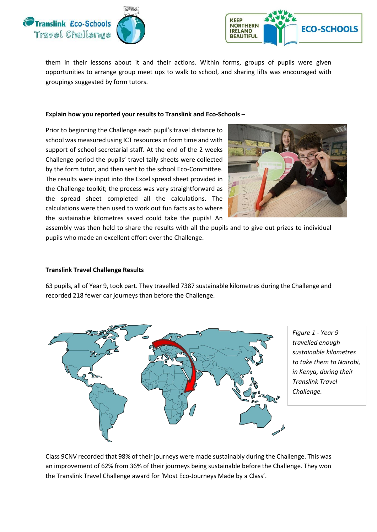



them in their lessons about it and their actions. Within forms, groups of pupils were given opportunities to arrange group meet ups to walk to school, and sharing lifts was encouraged with groupings suggested by form tutors.

#### **Explain how you reported your results to Translink and Eco-Schools –**

Prior to beginning the Challenge each pupil's travel distance to school was measured using ICT resources in form time and with support of school secretarial staff. At the end of the 2 weeks Challenge period the pupils' travel tally sheets were collected by the form tutor, and then sent to the school Eco-Committee. The results were input into the Excel spread sheet provided in the Challenge toolkit; the process was very straightforward as the spread sheet completed all the calculations. The calculations were then used to work out fun facts as to where the sustainable kilometres saved could take the pupils! An



assembly was then held to share the results with all the pupils and to give out prizes to individual pupils who made an excellent effort over the Challenge.

#### **Translink Travel Challenge Results**

63 pupils, all of Year 9, took part. They travelled 7387 sustainable kilometres during the Challenge and recorded 218 fewer car journeys than before the Challenge.



*Figure 1 - Year 9 travelled enough sustainable kilometres to take them to Nairobi, in Kenya, during their Translink Travel Challenge.* 

Class 9CNV recorded that 98% of their journeys were made sustainably during the Challenge. This was an improvement of 62% from 36% of their journeys being sustainable before the Challenge. They won the Translink Travel Challenge award for 'Most Eco-Journeys Made by a Class'.